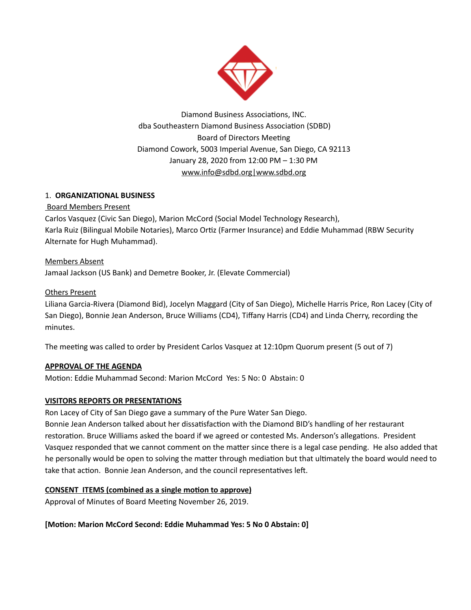

Diamond Business Associations, INC. dba Southeastern Diamond Business Association (SDBD) Board of Directors Meeting Diamond Cowork, 5003 Imperial Avenue, San Diego, CA 92113 January 28, 2020 from 12:00 PM – 1:30 PM www.info@sdbd.org|www.sdbd.org

# 1. **ORGANIZATIONAL BUSINESS**

# Board Members Present

Carlos Vasquez (Civic San Diego), Marion McCord (Social Model Technology Research), Karla Ruiz (Bilingual Mobile Notaries), Marco Ortiz (Farmer Insurance) and Eddie Muhammad (RBW Security Alternate for Hugh Muhammad).

Members Absent Jamaal Jackson (US Bank) and Demetre Booker, Jr. (Elevate Commercial)

# Others Present

Liliana Garcia-Rivera (Diamond Bid), Jocelyn Maggard (City of San Diego), Michelle Harris Price, Ron Lacey (City of San Diego), Bonnie Jean Anderson, Bruce Williams (CD4), Tiffany Harris (CD4) and Linda Cherry, recording the minutes.

The meeting was called to order by President Carlos Vasquez at 12:10pm Quorum present (5 out of 7)

# **APPROVAL OF THE AGENDA**

Motion: Eddie Muhammad Second: Marion McCord Yes: 5 No: 0 Abstain: 0

## **VISITORS REPORTS OR PRESENTATIONS**

Ron Lacey of City of San Diego gave a summary of the Pure Water San Diego.

Bonnie Jean Anderson talked about her dissatisfaction with the Diamond BID's handling of her restaurant restoration. Bruce Williams asked the board if we agreed or contested Ms. Anderson's allegations. President Vasquez responded that we cannot comment on the matter since there is a legal case pending. He also added that he personally would be open to solving the matter through mediation but that ultimately the board would need to take that action. Bonnie Jean Anderson, and the council representatives left.

## **CONSENT ITEMS** (combined as a single motion to approve)

Approval of Minutes of Board Meeting November 26, 2019.

**[Moon: Marion McCord Second: Eddie Muhammad Yes: 5 No 0 Abstain: 0]**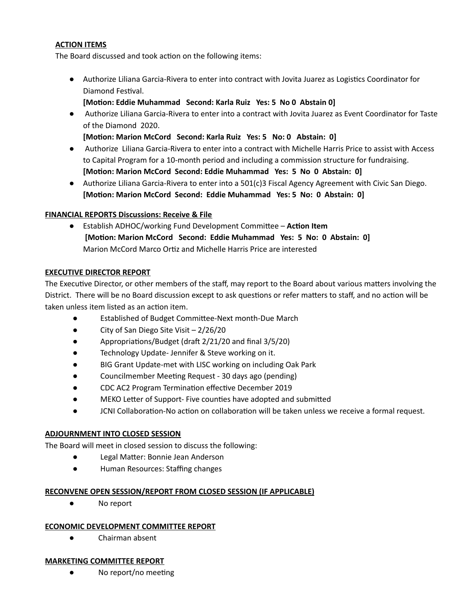## **ACTION ITEMS**

The Board discussed and took action on the following items:

- Authorize Liliana Garcia-Rivera to enter into contract with Jovita Juarez as Logistics Coordinator for Diamond Festival.
	- **[Moon: Eddie Muhammad Second: Karla Ruiz Yes: 5 No 0 Abstain 0]**
- Authorize Liliana Garcia-Rivera to enter into a contract with Jovita Juarez as Event Coordinator for Taste of the Diamond 2020.

**[Moon: Marion McCord Second: Karla Ruiz Yes: 5 No: 0 Abstain: 0]**

- Authorize Liliana Garcia-Rivera to enter into a contract with Michelle Harris Price to assist with Access to Capital Program for a 10-month period and including a commission structure for fundraising. **[Moon: Marion McCord Second: Eddie Muhammad Yes: 5 No 0 Abstain: 0]**
- **●** Authorize Liliana Garcia-Rivera to enter into a 501(c)3 Fiscal Agency Agreement with Civic San Diego. **[Moon: Marion McCord Second: Eddie Muhammad Yes: 5 No: 0 Abstain: 0]**

#### **FINANCIAL REPORTS Discussions: Receive & File**

**•** Establish ADHOC/working Fund Development Committee – Action Item **[Moon: Marion McCord Second: Eddie Muhammad Yes: 5 No: 0 Abstain: 0]** Marion McCord Marco Ortiz and Michelle Harris Price are interested

#### **EXECUTIVE DIRECTOR REPORT**

The Executive Director, or other members of the staff, may report to the Board about various matters involving the District. There will be no Board discussion except to ask questions or refer matters to staff, and no action will be taken unless item listed as an action item.

- Established of Budget Committee-Next month-Due March
- City of San Diego Site Visit 2/26/20
- Appropriations/Budget (draft 2/21/20 and final 3/5/20)
- Technology Update- Jennifer & Steve working on it.
- BIG Grant Update-met with LISC working on including Oak Park
- Councilmember Meeting Request 30 days ago (pending)
- CDC AC2 Program Termination effective December 2019
- MEKO Letter of Support- Five counties have adopted and submitted
- JCNI Collaboration-No action on collaboration will be taken unless we receive a formal request.

## **ADJOURNMENT INTO CLOSED SESSION**

The Board will meet in closed session to discuss the following:

- Legal Matter: Bonnie Jean Anderson
- Human Resources: Staffing changes

#### **RECONVENE OPEN SESSION/REPORT FROM CLOSED SESSION (IF APPLICABLE)**

● No report

## **ECONOMIC DEVELOPMENT COMMITTEE REPORT**

● Chairman absent

## **MARKETING COMMITTEE REPORT**

 $\bullet$  No report/no meeting